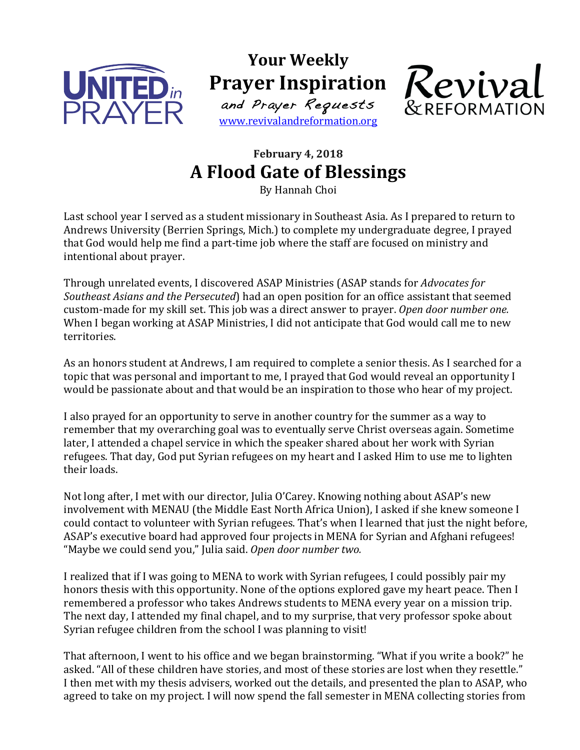

**Your Weekly Prayer Inspiration** and Prayer Requests

www.revivalandreformation.org



## **February 4, 2018 A Flood Gate of Blessings**

By Hannah Choi

Last school year I served as a student missionary in Southeast Asia. As I prepared to return to Andrews University (Berrien Springs, Mich.) to complete my undergraduate degree, I prayed that God would help me find a part-time job where the staff are focused on ministry and intentional about prayer.

Through unrelated events, I discovered ASAP Ministries (ASAP stands for *Advocates for* Southeast Asians and the Persecuted) had an open position for an office assistant that seemed custom-made for my skill set. This job was a direct answer to prayer. *Open door number one.* When I began working at ASAP Ministries, I did not anticipate that God would call me to new territories.

As an honors student at Andrews, I am required to complete a senior thesis. As I searched for a topic that was personal and important to me, I prayed that God would reveal an opportunity I would be passionate about and that would be an inspiration to those who hear of my project.

I also prayed for an opportunity to serve in another country for the summer as a way to remember that my overarching goal was to eventually serve Christ overseas again. Sometime later, I attended a chapel service in which the speaker shared about her work with Syrian refugees. That day, God put Syrian refugees on my heart and I asked Him to use me to lighten their loads.

Not long after, I met with our director, Julia O'Carey. Knowing nothing about ASAP's new involvement with MENAU (the Middle East North Africa Union), I asked if she knew someone I could contact to volunteer with Syrian refugees. That's when I learned that just the night before, ASAP's executive board had approved four projects in MENA for Syrian and Afghani refugees! "Maybe we could send you," Julia said. Open door number two.

I realized that if I was going to MENA to work with Syrian refugees, I could possibly pair my honors thesis with this opportunity. None of the options explored gave my heart peace. Then I remembered a professor who takes Andrews students to MENA every year on a mission trip. The next day, I attended my final chapel, and to my surprise, that very professor spoke about Syrian refugee children from the school I was planning to visit!

That afternoon, I went to his office and we began brainstorming. "What if you write a book?" he asked. "All of these children have stories, and most of these stories are lost when they resettle." I then met with my thesis advisers, worked out the details, and presented the plan to ASAP, who agreed to take on my project. I will now spend the fall semester in MENA collecting stories from